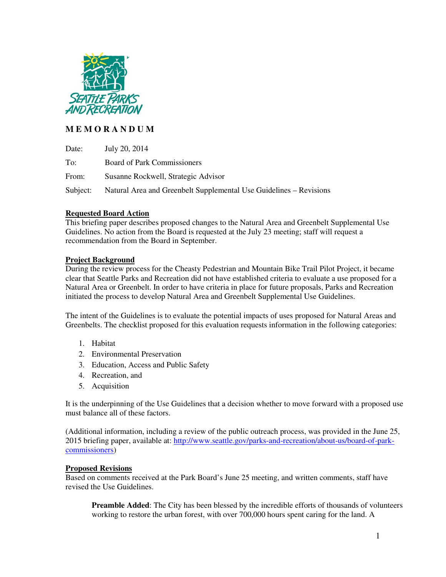

# **M E M O R A N D U M**

| Date:    | July 20, 2014                                                      |
|----------|--------------------------------------------------------------------|
| To:      | Board of Park Commissioners                                        |
| From:    | Susanne Rockwell, Strategic Advisor                                |
| Subject: | Natural Area and Greenbelt Supplemental Use Guidelines – Revisions |

## **Requested Board Action**

This briefing paper describes proposed changes to the Natural Area and Greenbelt Supplemental Use Guidelines. No action from the Board is requested at the July 23 meeting; staff will request a recommendation from the Board in September.

### **Project Background**

During the review process for the Cheasty Pedestrian and Mountain Bike Trail Pilot Project, it became clear that Seattle Parks and Recreation did not have established criteria to evaluate a use proposed for a Natural Area or Greenbelt. In order to have criteria in place for future proposals, Parks and Recreation initiated the process to develop Natural Area and Greenbelt Supplemental Use Guidelines.

The intent of the Guidelines is to evaluate the potential impacts of uses proposed for Natural Areas and Greenbelts. The checklist proposed for this evaluation requests information in the following categories:

- 1. Habitat
- 2. Environmental Preservation
- 3. Education, Access and Public Safety
- 4. Recreation, and
- 5. Acquisition

It is the underpinning of the Use Guidelines that a decision whether to move forward with a proposed use must balance all of these factors.

(Additional information, including a review of the public outreach process, was provided in the June 25, 2015 briefing paper, available at: http://www.seattle.gov/parks-and-recreation/about-us/board-of-parkcommissioners)

### **Proposed Revisions**

Based on comments received at the Park Board's June 25 meeting, and written comments, staff have revised the Use Guidelines.

**Preamble Added**: The City has been blessed by the incredible efforts of thousands of volunteers working to restore the urban forest, with over 700,000 hours spent caring for the land. A